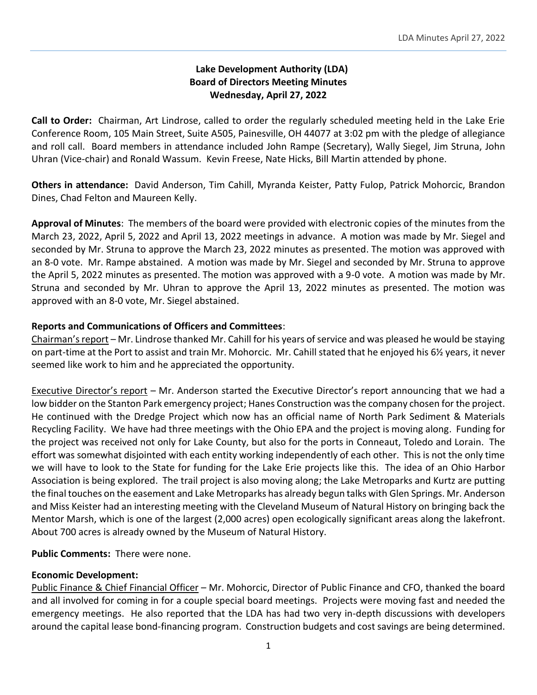# **Lake Development Authority (LDA) Board of Directors Meeting Minutes Wednesday, April 27, 2022**

**Call to Order:** Chairman, Art Lindrose, called to order the regularly scheduled meeting held in the Lake Erie Conference Room, 105 Main Street, Suite A505, Painesville, OH 44077 at 3:02 pm with the pledge of allegiance and roll call. Board members in attendance included John Rampe (Secretary), Wally Siegel, Jim Struna, John Uhran (Vice-chair) and Ronald Wassum. Kevin Freese, Nate Hicks, Bill Martin attended by phone.

**Others in attendance:** David Anderson, Tim Cahill, Myranda Keister, Patty Fulop, Patrick Mohorcic, Brandon Dines, Chad Felton and Maureen Kelly.

**Approval of Minutes**: The members of the board were provided with electronic copies of the minutes from the March 23, 2022, April 5, 2022 and April 13, 2022 meetings in advance. A motion was made by Mr. Siegel and seconded by Mr. Struna to approve the March 23, 2022 minutes as presented. The motion was approved with an 8-0 vote. Mr. Rampe abstained. A motion was made by Mr. Siegel and seconded by Mr. Struna to approve the April 5, 2022 minutes as presented. The motion was approved with a 9-0 vote. A motion was made by Mr. Struna and seconded by Mr. Uhran to approve the April 13, 2022 minutes as presented. The motion was approved with an 8-0 vote, Mr. Siegel abstained.

# **Reports and Communications of Officers and Committees**:

Chairman's report – Mr. Lindrose thanked Mr. Cahill for his years of service and was pleased he would be staying on part-time at the Port to assist and train Mr. Mohorcic. Mr. Cahill stated that he enjoyed his 6½ years, it never seemed like work to him and he appreciated the opportunity.

Executive Director's report – Mr. Anderson started the Executive Director's report announcing that we had a low bidder on the Stanton Park emergency project; Hanes Construction was the company chosen for the project. He continued with the Dredge Project which now has an official name of North Park Sediment & Materials Recycling Facility. We have had three meetings with the Ohio EPA and the project is moving along. Funding for the project was received not only for Lake County, but also for the ports in Conneaut, Toledo and Lorain. The effort was somewhat disjointed with each entity working independently of each other. This is not the only time we will have to look to the State for funding for the Lake Erie projects like this. The idea of an Ohio Harbor Association is being explored. The trail project is also moving along; the Lake Metroparks and Kurtz are putting the final touches on the easement and Lake Metroparks has already begun talks with Glen Springs. Mr. Anderson and Miss Keister had an interesting meeting with the Cleveland Museum of Natural History on bringing back the Mentor Marsh, which is one of the largest (2,000 acres) open ecologically significant areas along the lakefront. About 700 acres is already owned by the Museum of Natural History.

**Public Comments:** There were none.

## **Economic Development:**

Public Finance & Chief Financial Officer – Mr. Mohorcic, Director of Public Finance and CFO, thanked the board and all involved for coming in for a couple special board meetings. Projects were moving fast and needed the emergency meetings. He also reported that the LDA has had two very in-depth discussions with developers around the capital lease bond-financing program. Construction budgets and cost savings are being determined.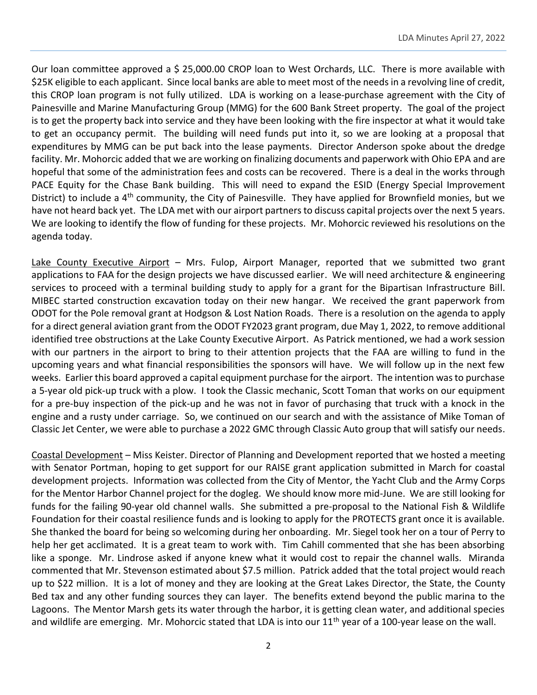Our loan committee approved a \$ 25,000.00 CROP loan to West Orchards, LLC. There is more available with \$25K eligible to each applicant. Since local banks are able to meet most of the needs in a revolving line of credit, this CROP loan program is not fully utilized. LDA is working on a lease-purchase agreement with the City of Painesville and Marine Manufacturing Group (MMG) for the 600 Bank Street property. The goal of the project is to get the property back into service and they have been looking with the fire inspector at what it would take to get an occupancy permit. The building will need funds put into it, so we are looking at a proposal that expenditures by MMG can be put back into the lease payments. Director Anderson spoke about the dredge facility. Mr. Mohorcic added that we are working on finalizing documents and paperwork with Ohio EPA and are hopeful that some of the administration fees and costs can be recovered. There is a deal in the works through PACE Equity for the Chase Bank building. This will need to expand the ESID (Energy Special Improvement District) to include a 4<sup>th</sup> community, the City of Painesville. They have applied for Brownfield monies, but we have not heard back yet. The LDA met with our airport partners to discuss capital projects over the next 5 years. We are looking to identify the flow of funding for these projects. Mr. Mohorcic reviewed his resolutions on the agenda today.

Lake County Executive Airport – Mrs. Fulop, Airport Manager, reported that we submitted two grant applications to FAA for the design projects we have discussed earlier. We will need architecture & engineering services to proceed with a terminal building study to apply for a grant for the Bipartisan Infrastructure Bill. MIBEC started construction excavation today on their new hangar. We received the grant paperwork from ODOT for the Pole removal grant at Hodgson & Lost Nation Roads. There is a resolution on the agenda to apply for a direct general aviation grant from the ODOT FY2023 grant program, due May 1, 2022, to remove additional identified tree obstructions at the Lake County Executive Airport. As Patrick mentioned, we had a work session with our partners in the airport to bring to their attention projects that the FAA are willing to fund in the upcoming years and what financial responsibilities the sponsors will have. We will follow up in the next few weeks. Earlier this board approved a capital equipment purchase for the airport. The intention was to purchase a 5-year old pick-up truck with a plow. I took the Classic mechanic, Scott Toman that works on our equipment for a pre-buy inspection of the pick-up and he was not in favor of purchasing that truck with a knock in the engine and a rusty under carriage. So, we continued on our search and with the assistance of Mike Toman of Classic Jet Center, we were able to purchase a 2022 GMC through Classic Auto group that will satisfy our needs.

Coastal Development – Miss Keister. Director of Planning and Development reported that we hosted a meeting with Senator Portman, hoping to get support for our RAISE grant application submitted in March for coastal development projects. Information was collected from the City of Mentor, the Yacht Club and the Army Corps for the Mentor Harbor Channel project for the dogleg. We should know more mid-June. We are still looking for funds for the failing 90-year old channel walls. She submitted a pre-proposal to the National Fish & Wildlife Foundation for their coastal resilience funds and is looking to apply for the PROTECTS grant once it is available. She thanked the board for being so welcoming during her onboarding. Mr. Siegel took her on a tour of Perry to help her get acclimated. It is a great team to work with. Tim Cahill commented that she has been absorbing like a sponge. Mr. Lindrose asked if anyone knew what it would cost to repair the channel walls. Miranda commented that Mr. Stevenson estimated about \$7.5 million. Patrick added that the total project would reach up to \$22 million. It is a lot of money and they are looking at the Great Lakes Director, the State, the County Bed tax and any other funding sources they can layer. The benefits extend beyond the public marina to the Lagoons. The Mentor Marsh gets its water through the harbor, it is getting clean water, and additional species and wildlife are emerging. Mr. Mohorcic stated that LDA is into our  $11<sup>th</sup>$  year of a 100-year lease on the wall.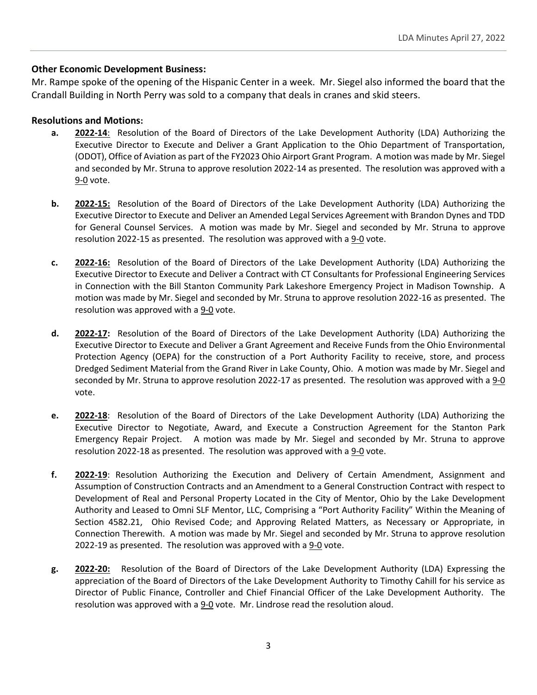### **Other Economic Development Business:**

Mr. Rampe spoke of the opening of the Hispanic Center in a week. Mr. Siegel also informed the board that the Crandall Building in North Perry was sold to a company that deals in cranes and skid steers.

#### **Resolutions and Motions:**

- **a. 2022-14**: Resolution of the Board of Directors of the Lake Development Authority (LDA) Authorizing the Executive Director to Execute and Deliver a Grant Application to the Ohio Department of Transportation, (ODOT), Office of Aviation as part of the FY2023 Ohio Airport Grant Program. A motion was made by Mr. Siegel and seconded by Mr. Struna to approve resolution 2022-14 as presented. The resolution was approved with a 9-0 vote.
- **b. 2022-15:** Resolution of the Board of Directors of the Lake Development Authority (LDA) Authorizing the Executive Director to Execute and Deliver an Amended Legal Services Agreement with Brandon Dynes and TDD for General Counsel Services. A motion was made by Mr. Siegel and seconded by Mr. Struna to approve resolution 2022-15 as presented. The resolution was approved with a 9-0 vote.
- **c. 2022-16:** Resolution of the Board of Directors of the Lake Development Authority (LDA) Authorizing the Executive Director to Execute and Deliver a Contract with CT Consultants for Professional Engineering Services in Connection with the Bill Stanton Community Park Lakeshore Emergency Project in Madison Township. A motion was made by Mr. Siegel and seconded by Mr. Struna to approve resolution 2022-16 as presented. The resolution was approved with a 9-0 vote.
- **d. 2022-17:** Resolution of the Board of Directors of the Lake Development Authority (LDA) Authorizing the Executive Director to Execute and Deliver a Grant Agreement and Receive Funds from the Ohio Environmental Protection Agency (OEPA) for the construction of a Port Authority Facility to receive, store, and process Dredged Sediment Material from the Grand River in Lake County, Ohio. A motion was made by Mr. Siegel and seconded by Mr. Struna to approve resolution 2022-17 as presented. The resolution was approved with a 9-0 vote.
- **e. 2022-18**: Resolution of the Board of Directors of the Lake Development Authority (LDA) Authorizing the Executive Director to Negotiate, Award, and Execute a Construction Agreement for the Stanton Park Emergency Repair Project. A motion was made by Mr. Siegel and seconded by Mr. Struna to approve resolution 2022-18 as presented. The resolution was approved with a 9-0 vote.
- **f. 2022-19**: Resolution Authorizing the Execution and Delivery of Certain Amendment, Assignment and Assumption of Construction Contracts and an Amendment to a General Construction Contract with respect to Development of Real and Personal Property Located in the City of Mentor, Ohio by the Lake Development Authority and Leased to Omni SLF Mentor, LLC, Comprising a "Port Authority Facility" Within the Meaning of Section 4582.21, Ohio Revised Code; and Approving Related Matters, as Necessary or Appropriate, in Connection Therewith. A motion was made by Mr. Siegel and seconded by Mr. Struna to approve resolution 2022-19 as presented. The resolution was approved with a 9-0 vote.
- **g. 2022-20:** Resolution of the Board of Directors of the Lake Development Authority (LDA) Expressing the appreciation of the Board of Directors of the Lake Development Authority to Timothy Cahill for his service as Director of Public Finance, Controller and Chief Financial Officer of the Lake Development Authority. The resolution was approved with a 9-0 vote. Mr. Lindrose read the resolution aloud.